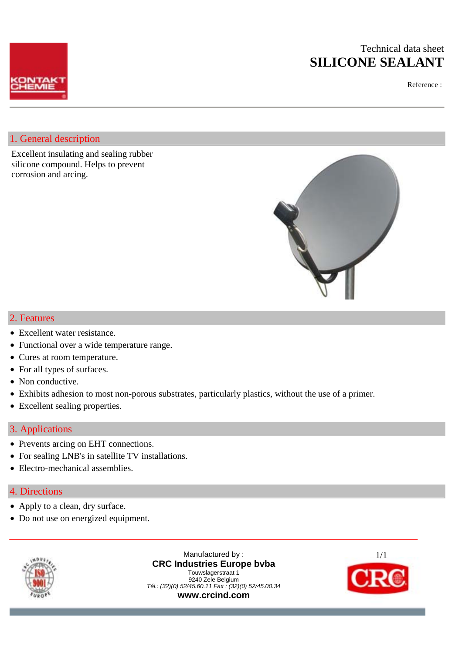# Technical data sheet **SILICONE SEALANT**



### Reference :

## 1. General description

Excellent insulating and sealing rubber silicone compound. Helps to prevent corrosion and arcing.



## 2. Features

- Excellent water resistance.
- Functional over a wide temperature range.
- Cures at room temperature.
- For all types of surfaces.
- Non conductive.
- Exhibits adhesion to most non-porous substrates, particularly plastics, without the use of a primer.
- Excellent sealing properties.

## 3. Applications

- Prevents arcing on EHT connections.
- For sealing LNB's in satellite TV installations.
- Electro-mechanical assemblies.

### 4. Directions

- Apply to a clean, dry surface.
- Do not use on energized equipment.



Manufactured by : **CRC Industries Europe bvba** Touwslagerstraat 1 9240 Zele Belgium *Tél.: (32)(0) 52/45.60.11 Fax : (32)(0) 52/45.00.34*  **www.crcind.com**